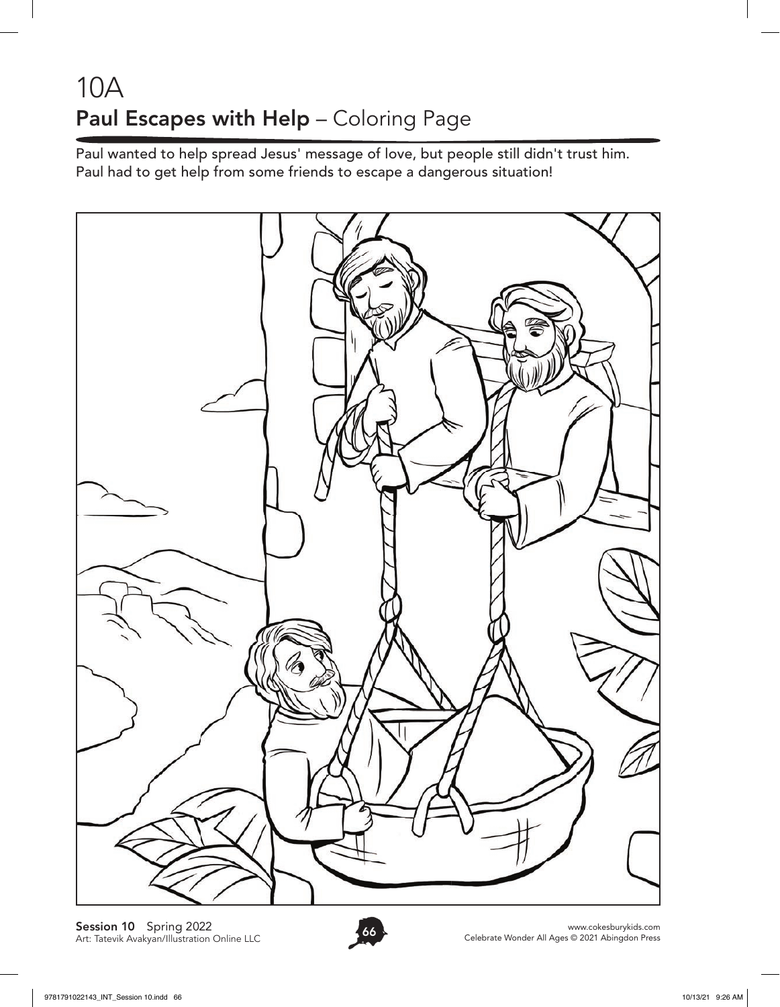## 10A Paul Escapes with Help - Coloring Page

Paul wanted to help spread Jesus' message of love, but people still didn't trust him. Paul had to get help from some friends to escape a dangerous situation!



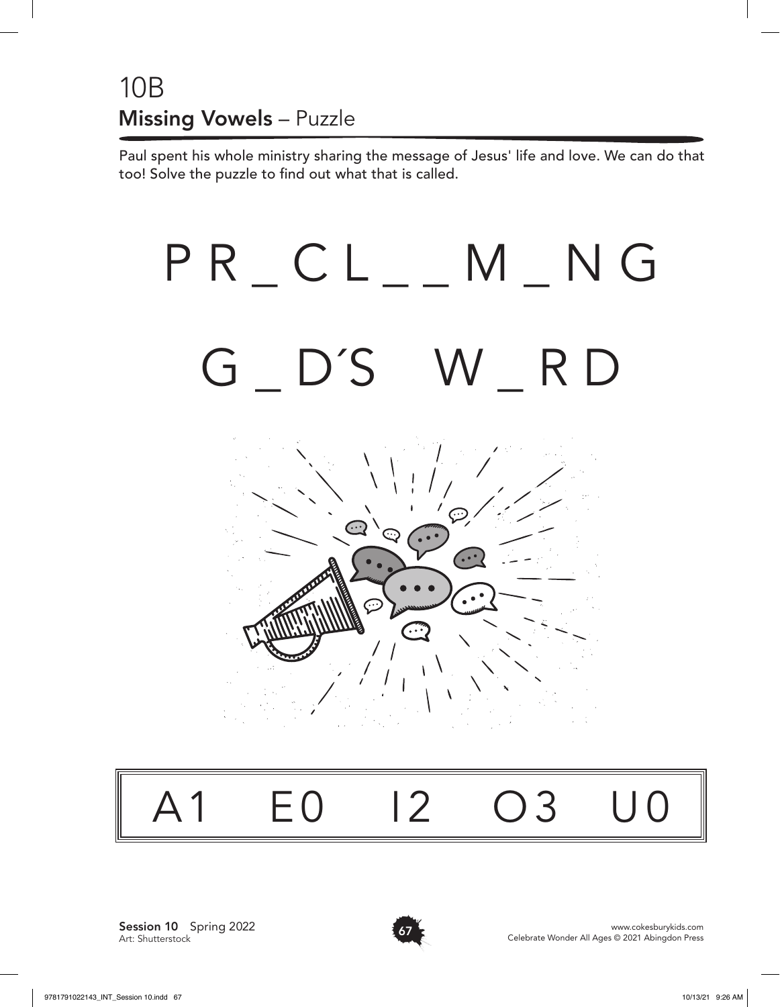#### 10B Missing Vowels – Puzzle

Paul spent his whole ministry sharing the message of Jesus' life and love. We can do that too! Solve the puzzle to find out what that is called.



# A1 E0 I2 O3 U0

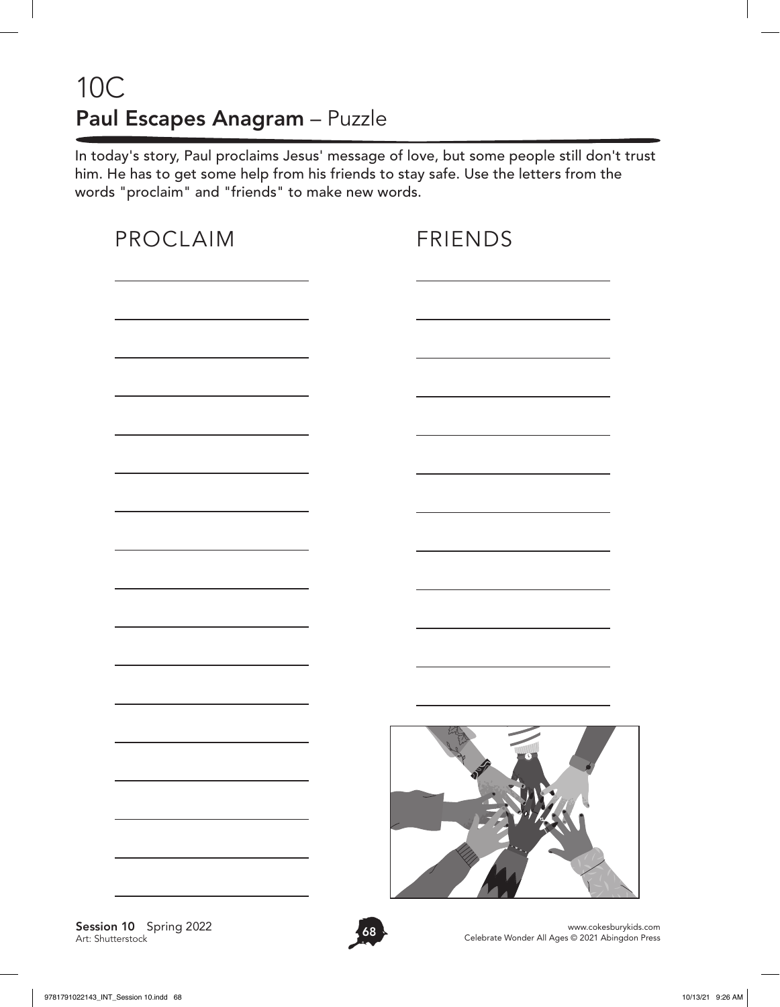#### 10C Paul Escapes Anagram – Puzzle

In today's story, Paul proclaims Jesus' message of love, but some people still don't trust him. He has to get some help from his friends to stay safe. Use the letters from the words "proclaim" and "friends" to make new words.

| PROCLAIM | <b>FRIENDS</b> |
|----------|----------------|
|          |                |
|          |                |
|          |                |
|          |                |
|          |                |
|          |                |
|          |                |
|          |                |
|          |                |
|          |                |
|          |                |
|          |                |
|          |                |
|          |                |

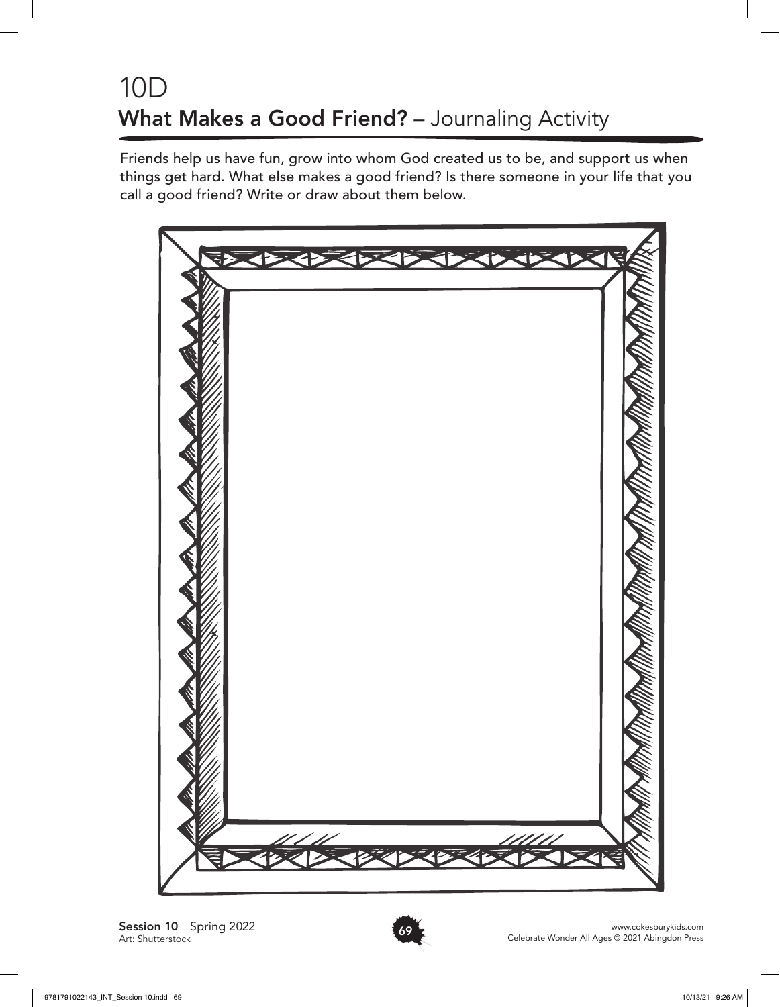### 10D What Makes a Good Friend? - Journaling Activity

Friends help us have fun, grow into whom God created us to be, and support us when things get hard. What else makes a good friend? Is there someone in your life that you call a good friend? Write or draw about them below.



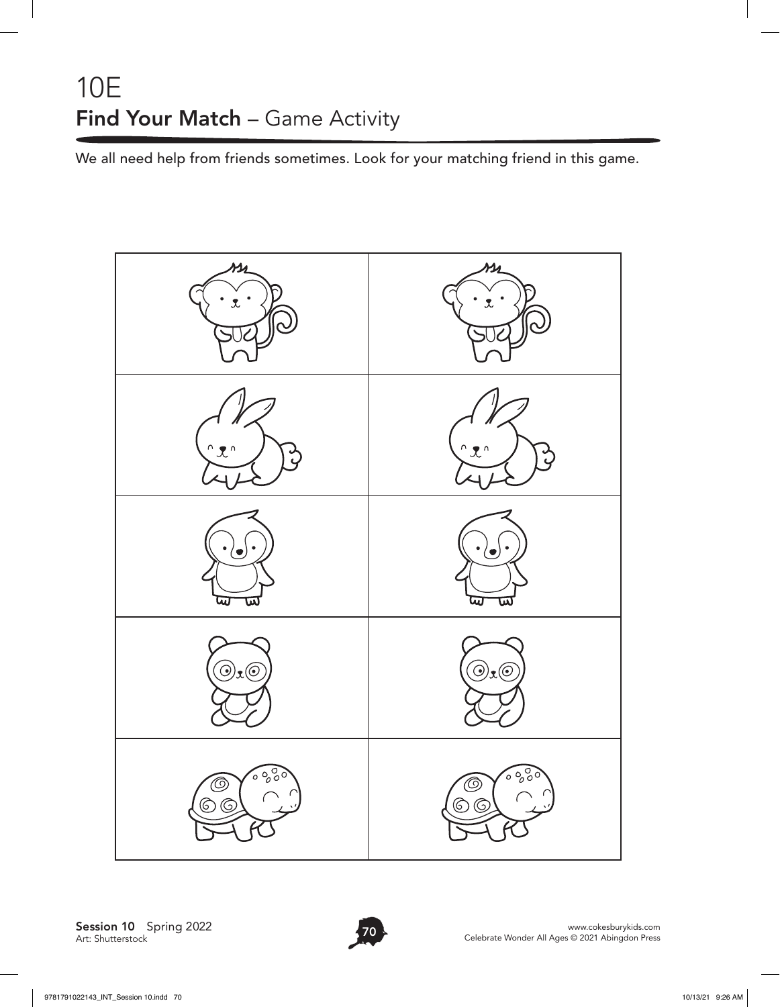#### 10E Find Your Match - Game Activity

We all need help from friends sometimes. Look for your matching friend in this game.

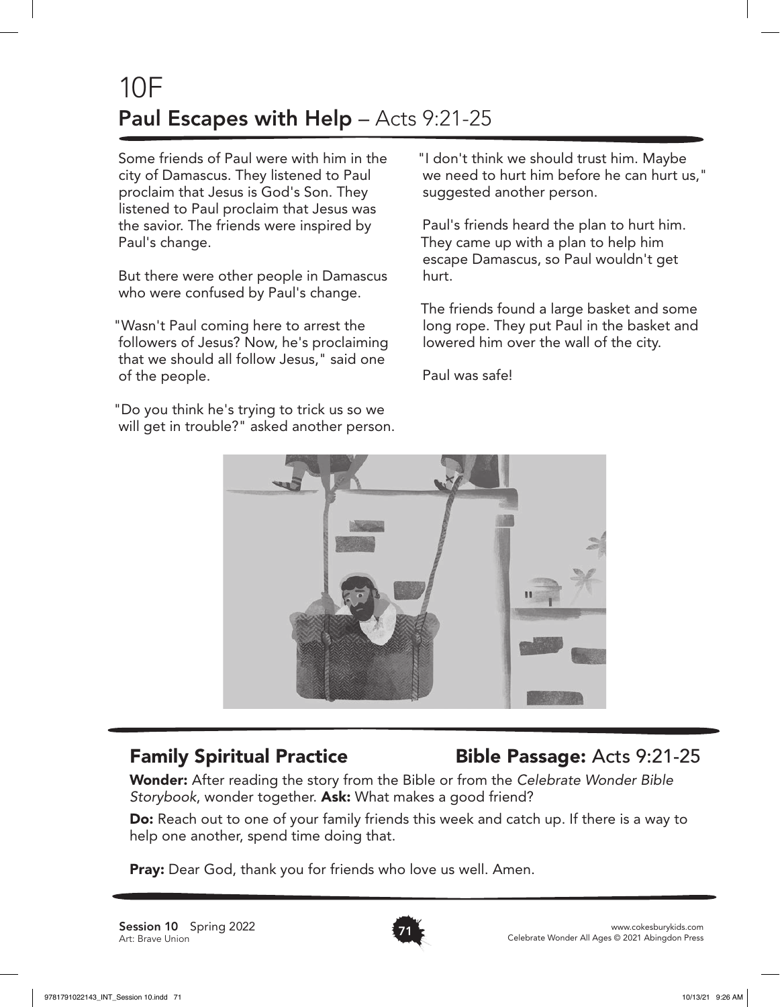### 10F Paul Escapes with Help - Acts 9:21-25

Some friends of Paul were with him in the city of Damascus. They listened to Paul proclaim that Jesus is God's Son. They listened to Paul proclaim that Jesus was the savior. The friends were inspired by Paul's change.

But there were other people in Damascus who were confused by Paul's change.

"Wasn't Paul coming here to arrest the followers of Jesus? Now, he's proclaiming that we should all follow Jesus," said one of the people.

"Do you think he's trying to trick us so we will get in trouble?" asked another person. "I don't think we should trust him. Maybe we need to hurt him before he can hurt us," suggested another person.

Paul's friends heard the plan to hurt him. They came up with a plan to help him escape Damascus, so Paul wouldn't get hurt.

The friends found a large basket and some long rope. They put Paul in the basket and lowered him over the wall of the city.

Paul was safe!



#### Family Spiritual Practice Bible Passage: Acts 9:21-25

Wonder: After reading the story from the Bible or from the *Celebrate Wonder Bible Storybook*, wonder together. Ask: What makes a good friend?

Do: Reach out to one of your family friends this week and catch up. If there is a way to help one another, spend time doing that.

**Pray:** Dear God, thank you for friends who love us well. Amen.